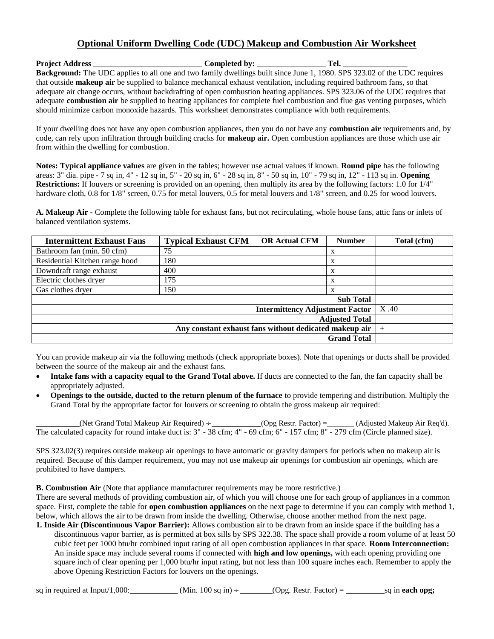## **Optional Uniform Dwelling Code (UDC) Makeup and Combustion Air Worksheet**

**Project Address** \_\_\_\_\_\_\_\_\_\_\_\_\_\_\_\_\_\_\_\_\_\_\_\_\_\_\_ **Completed by:** \_\_\_\_\_\_\_\_\_\_\_\_\_\_\_\_\_ **Tel.** \_\_\_\_\_\_\_\_\_\_\_\_\_\_\_\_ **Background:** The UDC applies to all one and two family dwellings built since June 1, 1980. SPS 323.02 of the UDC requires that outside **makeup air** be supplied to balance mechanical exhaust ventilation, including required bathroom fans, so that adequate air change occurs, without backdrafting of open combustion heating appliances. SPS 323.06 of the UDC requires that adequate **combustion air** be supplied to heating appliances for complete fuel combustion and flue gas venting purposes, which should minimize carbon monoxide hazards. This worksheet demonstrates compliance with both requirements.

If your dwelling does not have any open combustion appliances, then you do not have any **combustion air** requirements and, by code, can rely upon infiltration through building cracks for **makeup air.** Open combustion appliances are those which use air from within the dwelling for combustion.

**Notes: Typical appliance values** are given in the tables; however use actual values if known. **Round pipe** has the following areas: 3" dia. pipe - 7 sq in, 4" - 12 sq in, 5" - 20 sq in, 6" - 28 sq in, 8" - 50 sq in, 10" - 79 sq in, 12" - 113 sq in. **Opening Restrictions:** If louvers or screening is provided on an opening, then multiply its area by the following factors: 1.0 for 1/4" hardware cloth, 0.8 for 1/8" screen, 0.75 for metal louvers, 0.5 for metal louvers and 1/8" screen, and 0.25 for wood louvers.

**A. Makeup Air -** Complete the following table for exhaust fans, but not recirculating, whole house fans, attic fans or inlets of balanced ventilation systems.

| <b>Intermittent Exhaust Fans</b> | <b>Typical Exhaust CFM</b> | <b>OR Actual CFM</b> | <b>Number</b>    | Total (cfm) |
|----------------------------------|----------------------------|----------------------|------------------|-------------|
| Bathroom fan (min. 50 cfm)       | 75                         |                      | X                |             |
| Residential Kitchen range hood   | 180                        |                      | X                |             |
| Downdraft range exhaust          | 400                        |                      | X                |             |
| Electric clothes dryer           | 175                        |                      | X                |             |
| Gas clothes dryer                | 150                        |                      | X                |             |
|                                  |                            |                      | <b>Sub Total</b> |             |
|                                  | X.40                       |                      |                  |             |
|                                  |                            |                      |                  |             |
|                                  | $^+$                       |                      |                  |             |
|                                  |                            |                      |                  |             |

You can provide makeup air via the following methods (check appropriate boxes). Note that openings or ducts shall be provided between the source of the makeup air and the exhaust fans.

- **Intake fans with a capacity equal to the Grand Total above.** If ducts are connected to the fan, the fan capacity shall be appropriately adjusted.
- **Openings to the outside, ducted to the return plenum of the furnace** to provide tempering and distribution. Multiply the Grand Total by the appropriate factor for louvers or screening to obtain the gross makeup air required:

(Net Grand Total Makeup Air Required) ÷ (Opg Restr. Factor) =\_\_\_\_\_\_\_ (Adjusted Makeup Air Req'd). The calculated capacity for round intake duct is: 3" - 38 cfm; 4" - 69 cfm; 6" - 157 cfm; 8" - 279 cfm (Circle planned size).

SPS 323.02(3) requires outside makeup air openings to have automatic or gravity dampers for periods when no makeup air is required. Because of this damper requirement, you may not use makeup air openings for combustion air openings, which are prohibited to have dampers.

**B. Combustion Air** (Note that appliance manufacturer requirements may be more restrictive.)

There are several methods of providing combustion air, of which you will choose one for each group of appliances in a common space. First, complete the table for **open combustion appliances** on the next page to determine if you can comply with method 1, below, which allows the air to be drawn from inside the dwelling. Otherwise, choose another method from the next page.

**1. Inside Air (Discontinuous Vapor Barrier):** Allows combustion air to be drawn from an inside space if the building has a discontinuous vapor barrier, as is permitted at box sills by SPS 322.38. The space shall provide a room volume of at least 50 cubic feet per 1000 btu/hr combined input rating of all open combustion appliances in that space. **Room Interconnection:** An inside space may include several rooms if connected with **high and low openings,** with each opening providing one square inch of clear opening per 1,000 btu/hr input rating, but not less than 100 square inches each. Remember to apply the above Opening Restriction Factors for louvers on the openings.

sq in required at Input/1,000: (Min. 100 sq in)  $\div$  (Opg. Restr. Factor) = sq in **each opg;**